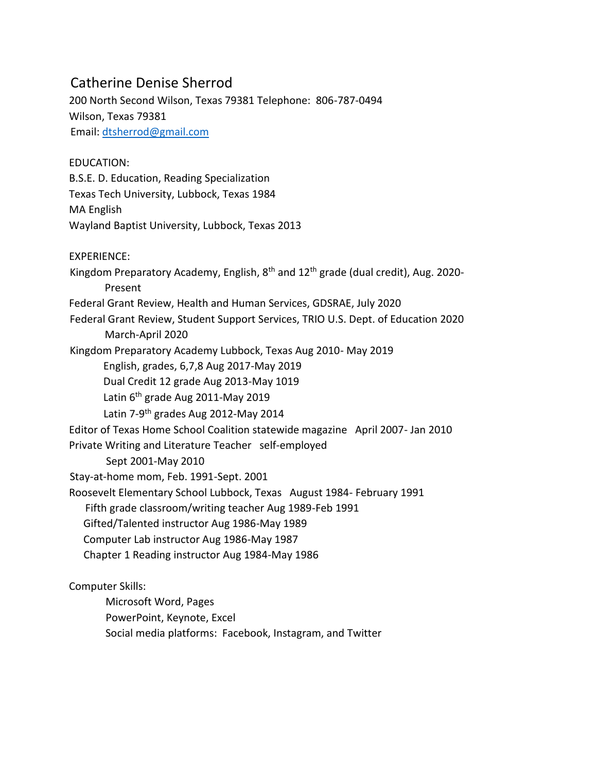## Catherine Denise Sherrod

200 North Second Wilson, Texas 79381 Telephone: 806-787-0494 Wilson, Texas 79381 Email: dtsherrod@gmail.com

EDUCATION: B.S.E. D. Education, Reading Specialization Texas Tech University, Lubbock, Texas 1984 MA English Wayland Baptist University, Lubbock, Texas 2013

EXPERIENCE: Kingdom Preparatory Academy, English,  $8<sup>th</sup>$  and  $12<sup>th</sup>$  grade (dual credit), Aug. 2020-Present Federal Grant Review, Health and Human Services, GDSRAE, July 2020 Federal Grant Review, Student Support Services, TRIO U.S. Dept. of Education 2020 March-April 2020 Kingdom Preparatory Academy Lubbock, Texas Aug 2010- May 2019 English, grades, 6,7,8 Aug 2017-May 2019 Dual Credit 12 grade Aug 2013-May 1019 Latin 6<sup>th</sup> grade Aug 2011-May 2019 Latin 7-9<sup>th</sup> grades Aug 2012-May 2014 Editor of Texas Home School Coalition statewide magazine April 2007- Jan 2010 Private Writing and Literature Teacher self-employed Sept 2001-May 2010 Stay-at-home mom, Feb. 1991-Sept. 2001 Roosevelt Elementary School Lubbock, Texas August 1984- February 1991 Fifth grade classroom/writing teacher Aug 1989-Feb 1991 Gifted/Talented instructor Aug 1986-May 1989 Computer Lab instructor Aug 1986-May 1987 Chapter 1 Reading instructor Aug 1984-May 1986 Computer Skills: Microsoft Word, Pages PowerPoint, Keynote, Excel

Social media platforms: Facebook, Instagram, and Twitter